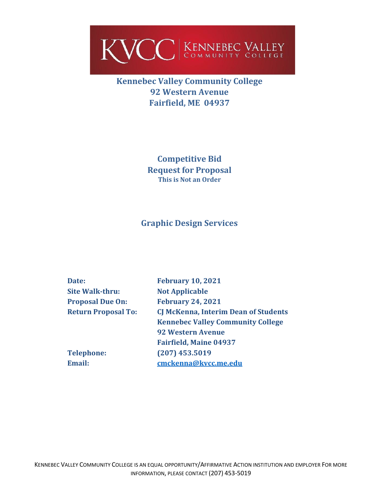

# **Kennebec Valley Community College 92 Western Avenue Fairfield, ME 04937**

**Competitive Bid Request for Proposal This is Not an Order**

## **Graphic Design Services**

| Date:                      | <b>February 10, 2021</b>                    |
|----------------------------|---------------------------------------------|
| <b>Site Walk-thru:</b>     | <b>Not Applicable</b>                       |
| <b>Proposal Due On:</b>    | <b>February 24, 2021</b>                    |
| <b>Return Proposal To:</b> | <b>CJ McKenna, Interim Dean of Students</b> |
|                            | <b>Kennebec Valley Community College</b>    |
|                            | <b>92 Western Avenue</b>                    |
|                            | <b>Fairfield, Maine 04937</b>               |
| <b>Telephone:</b>          | $(207)$ 453.5019                            |
| Email:                     | cmckenna@kvcc.me.edu                        |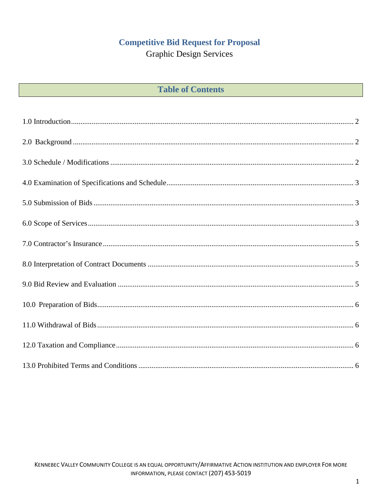## **Competitive Bid Request for Proposal**

**Graphic Design Services** 

| <b>Table of Contents</b> |  |  |
|--------------------------|--|--|
|--------------------------|--|--|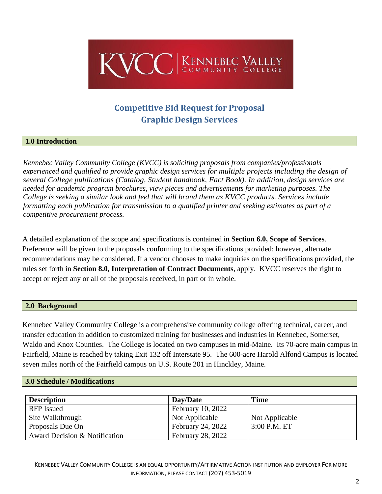

# **Competitive Bid Request for Proposal Graphic Design Services**

## <span id="page-2-0"></span>**1.0 Introduction**

*Kennebec Valley Community College (KVCC) is soliciting proposals from companies/professionals experienced and qualified to provide graphic design services for multiple projects including the design of several College publications (Catalog, Student handbook, Fact Book). In addition, design services are needed for academic program brochures, view pieces and advertisements for marketing purposes. The College is seeking a similar look and feel that will brand them as KVCC products. Services include formatting each publication for transmission to a qualified printer and seeking estimates as part of a competitive procurement process.* 

A detailed explanation of the scope and specifications is contained in **Section 6.0, Scope of Services**. Preference will be given to the proposals conforming to the specifications provided; however, alternate recommendations may be considered. If a vendor chooses to make inquiries on the specifications provided, the rules set forth in **Section 8.0, Interpretation of Contract Documents**, apply. KVCC reserves the right to accept or reject any or all of the proposals received, in part or in whole.

### <span id="page-2-1"></span>**2.0 Background**

Kennebec Valley Community College is a comprehensive community college offering technical, career, and transfer education in addition to customized training for businesses and industries in Kennebec, Somerset, Waldo and Knox Counties. The College is located on two campuses in mid-Maine. Its 70-acre main campus in Fairfield, Maine is reached by taking Exit 132 off Interstate 95. The 600-acre Harold Alfond Campus is located seven miles north of the Fairfield campus on U.S. Route 201 in Hinckley, Maine.

#### <span id="page-2-2"></span>**3.0 Schedule / Modifications**

| <b>Description</b>            | Day/Date                 | <b>Time</b>    |
|-------------------------------|--------------------------|----------------|
| <b>RFP</b> Issued             | February 10, 2022        |                |
| Site Walkthrough              | Not Applicable           | Not Applicable |
| Proposals Due On              | February 24, 2022        | $3:00$ P.M. ET |
| Award Decision & Notification | <b>February 28, 2022</b> |                |

KENNEBEC VALLEY COMMUNITY COLLEGE IS AN EQUAL OPPORTUNITY/AFFIRMATIVE ACTION INSTITUTION AND EMPLOYER FOR MORE INFORMATION, PLEASE CONTACT (207) 453-5019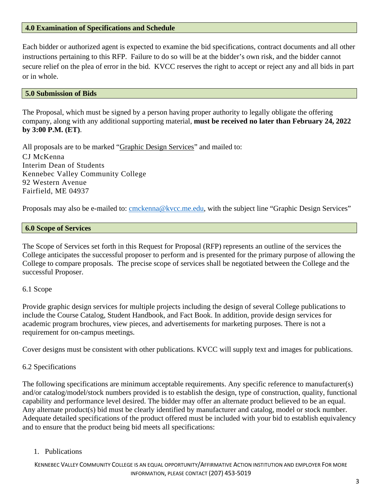### <span id="page-3-0"></span>**4.0 Examination of Specifications and Schedule**

Each bidder or authorized agent is expected to examine the bid specifications, contract documents and all other instructions pertaining to this RFP. Failure to do so will be at the bidder's own risk, and the bidder cannot secure relief on the plea of error in the bid. KVCC reserves the right to accept or reject any and all bids in part or in whole.

#### <span id="page-3-1"></span>**5.0 Submission of Bids**

The Proposal, which must be signed by a person having proper authority to legally obligate the offering company, along with any additional supporting material, **must be received no later than February 24, 2022 by 3:00 P.M. (ET)**.

All proposals are to be marked "Graphic Design Services" and mailed to: CJ McKenna Interim Dean of Students Kennebec Valley Community College 92 Western Avenue Fairfield, ME 04937

Proposals may also be e-mailed to: [cmckenna@kvcc.me.edu,](mailto:cmckenna@kvcc.me.edu) with the subject line "Graphic Design Services"

#### <span id="page-3-2"></span>**6.0 Scope of Services**

The Scope of Services set forth in this Request for Proposal (RFP) represents an outline of the services the College anticipates the successful proposer to perform and is presented for the primary purpose of allowing the College to compare proposals. The precise scope of services shall be negotiated between the College and the successful Proposer.

#### 6.1 Scope

Provide graphic design services for multiple projects including the design of several College publications to include the Course Catalog, Student Handbook, and Fact Book. In addition, provide design services for academic program brochures, view pieces, and advertisements for marketing purposes. There is not a requirement for on-campus meetings.

Cover designs must be consistent with other publications. KVCC will supply text and images for publications.

### 6.2 Specifications

The following specifications are minimum acceptable requirements. Any specific reference to manufacturer(s) and/or catalog/model/stock numbers provided is to establish the design, type of construction, quality, functional capability and performance level desired. The bidder may offer an alternate product believed to be an equal. Any alternate product(s) bid must be clearly identified by manufacturer and catalog, model or stock number. Adequate detailed specifications of the product offered must be included with your bid to establish equivalency and to ensure that the product being bid meets all specifications:

#### 1. Publications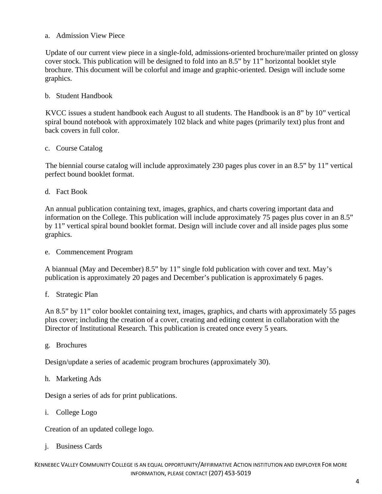## a. Admission View Piece

Update of our current view piece in a single-fold, admissions-oriented brochure/mailer printed on glossy cover stock. This publication will be designed to fold into an 8.5" by 11" horizontal booklet style brochure. This document will be colorful and image and graphic-oriented. Design will include some graphics.

## b. Student Handbook

KVCC issues a student handbook each August to all students. The Handbook is an 8" by 10" vertical spiral bound notebook with approximately 102 black and white pages (primarily text) plus front and back covers in full color.

### c. Course Catalog

The biennial course catalog will include approximately 230 pages plus cover in an 8.5" by 11" vertical perfect bound booklet format.

d. Fact Book

An annual publication containing text, images, graphics, and charts covering important data and information on the College. This publication will include approximately 75 pages plus cover in an 8.5" by 11" vertical spiral bound booklet format. Design will include cover and all inside pages plus some graphics.

e. Commencement Program

A biannual (May and December) 8.5" by 11" single fold publication with cover and text. May's publication is approximately 20 pages and December's publication is approximately 6 pages.

f. Strategic Plan

An 8.5" by 11" color booklet containing text, images, graphics, and charts with approximately 55 pages plus cover; including the creation of a cover, creating and editing content in collaboration with the Director of Institutional Research. This publication is created once every 5 years.

g. Brochures

Design/update a series of academic program brochures (approximately 30).

#### h. Marketing Ads

Design a series of ads for print publications.

i. College Logo

Creation of an updated college logo.

j. Business Cards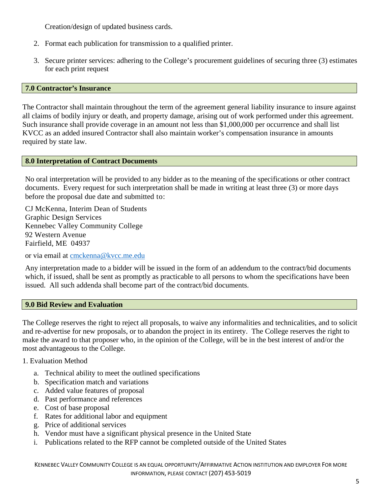Creation/design of updated business cards.

- 2. Format each publication for transmission to a qualified printer.
- 3. Secure printer services: adhering to the College's procurement guidelines of securing three (3) estimates for each print request

#### <span id="page-5-0"></span>**7.0 Contractor's Insurance**

<span id="page-5-1"></span>The Contractor shall maintain throughout the term of the agreement general liability insurance to insure against all claims of bodily injury or death, and property damage, arising out of work performed under this agreement. Such insurance shall provide coverage in an amount not less than \$1,000,000 per occurrence and shall list KVCC as an added insured Contractor shall also maintain worker's compensation insurance in amounts required by state law.

### **8.0 Interpretation of Contract Documents**

No oral interpretation will be provided to any bidder as to the meaning of the specifications or other contract documents. Every request for such interpretation shall be made in writing at least three (3) or more days before the proposal due date and submitted to:

CJ McKenna, Interim Dean of Students Graphic Design Services Kennebec Valley Community College 92 Western Avenue Fairfield, ME 04937

or via email at [cmckenna@kvcc.me.edu](mailto:cmckenna@kvcc.me.edu)

Any interpretation made to a bidder will be issued in the form of an addendum to the contract/bid documents which, if issued, shall be sent as promptly as practicable to all persons to whom the specifications have been issued. All such addenda shall become part of the contract/bid documents.

#### <span id="page-5-2"></span>**9.0 Bid Review and Evaluation**

The College reserves the right to reject all proposals, to waive any informalities and technicalities, and to solicit and re-advertise for new proposals, or to abandon the project in its entirety. The College reserves the right to make the award to that proposer who, in the opinion of the College, will be in the best interest of and/or the most advantageous to the College.

### 1. Evaluation Method

- a. Technical ability to meet the outlined specifications
- b. Specification match and variations
- c. Added value features of proposal
- d. Past performance and references
- e. Cost of base proposal
- f. Rates for additional labor and equipment
- g. Price of additional services
- h. Vendor must have a significant physical presence in the United State
- i. Publications related to the RFP cannot be completed outside of the United States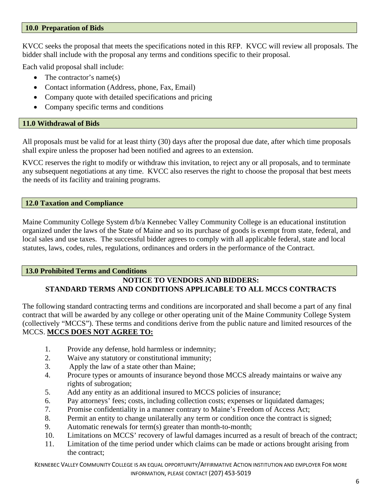### <span id="page-6-0"></span>**10.0 Preparation of Bids**

KVCC seeks the proposal that meets the specifications noted in this RFP. KVCC will review all proposals. The bidder shall include with the proposal any terms and conditions specific to their proposal.

Each valid proposal shall include:

- The contractor's name(s)
- Contact information (Address, phone, Fax, Email)
- Company quote with detailed specifications and pricing
- Company specific terms and conditions

## <span id="page-6-1"></span>**11.0 Withdrawal of Bids**

All proposals must be valid for at least thirty (30) days after the proposal due date, after which time proposals shall expire unless the proposer had been notified and agrees to an extension.

KVCC reserves the right to modify or withdraw this invitation, to reject any or all proposals, and to terminate any subsequent negotiations at any time. KVCC also reserves the right to choose the proposal that best meets the needs of its facility and training programs.

### <span id="page-6-2"></span>**12.0 Taxation and Compliance**

Maine Community College System d/b/a Kennebec Valley Community College is an educational institution organized under the laws of the State of Maine and so its purchase of goods is exempt from state, federal, and local sales and use taxes. The successful bidder agrees to comply with all applicable federal, state and local statutes, laws, codes, rules, regulations, ordinances and orders in the performance of the Contract.

## <span id="page-6-3"></span>**13.0 Prohibited Terms and Conditions**

## **NOTICE TO VENDORS AND BIDDERS: STANDARD TERMS AND CONDITIONS APPLICABLE TO ALL MCCS CONTRACTS**

The following standard contracting terms and conditions are incorporated and shall become a part of any final contract that will be awarded by any college or other operating unit of the Maine Community College System (collectively "MCCS"). These terms and conditions derive from the public nature and limited resources of the MCCS. **MCCS DOES NOT AGREE TO:**

- 1. Provide any defense, hold harmless or indemnity;
- 2. Waive any statutory or constitutional immunity;
- 3. Apply the law of a state other than Maine;
- 4. Procure types or amounts of insurance beyond those MCCS already maintains or waive any rights of subrogation;
- 5. Add any entity as an additional insured to MCCS policies of insurance;
- 6. Pay attorneys' fees; costs, including collection costs; expenses or liquidated damages;
- 7. Promise confidentiality in a manner contrary to Maine's Freedom of Access Act;
- 8. Permit an entity to change unilaterally any term or condition once the contract is signed;
- 9. Automatic renewals for term(s) greater than month-to-month;
- 10. Limitations on MCCS' recovery of lawful damages incurred as a result of breach of the contract;
- 11. Limitation of the time period under which claims can be made or actions brought arising from the contract;

KENNEBEC VALLEY COMMUNITY COLLEGE IS AN EQUAL OPPORTUNITY/AFFIRMATIVE ACTION INSTITUTION AND EMPLOYER FOR MORE INFORMATION, PLEASE CONTACT (207) 453-5019